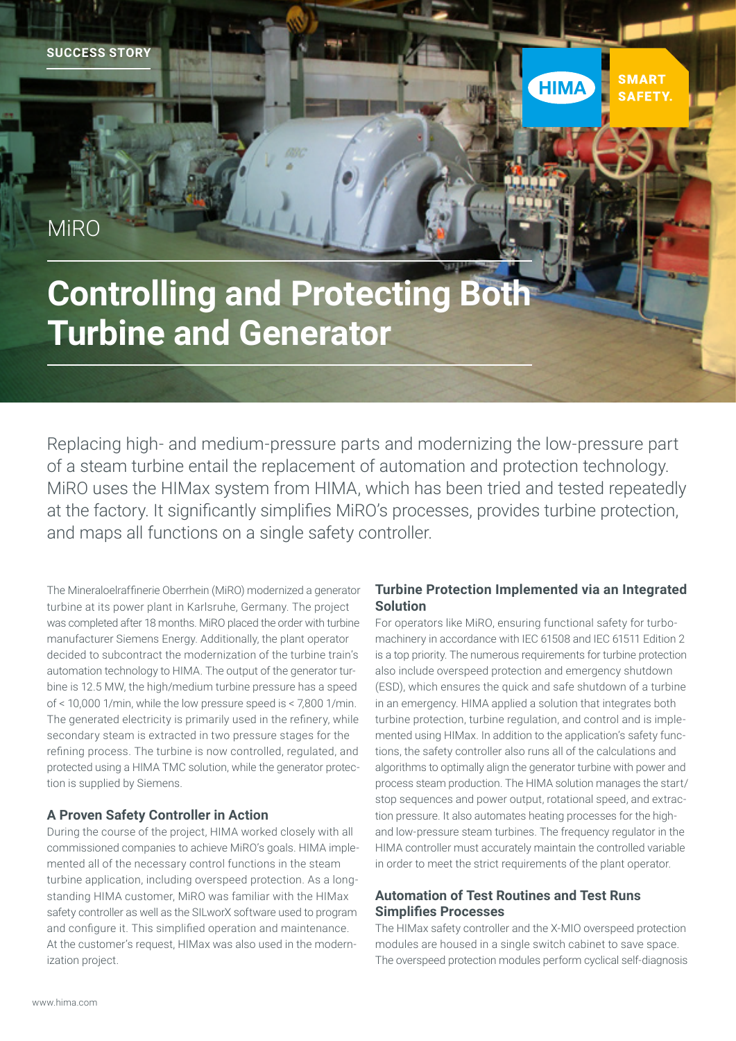**SUCCESS STORY**

**MiRO** 

# **Controlling and Protecting Both Turbine and Generator**

Replacing high- and medium-pressure parts and modernizing the low-pressure part of a steam turbine entail the replacement of automation and protection technology. MiRO uses the HIMax system from HIMA, which has been tried and tested repeatedly at the factory. It significantly simplifies MiRO's processes, provides turbine protection, and maps all functions on a single safety controller.

The Mineraloelraffinerie Oberrhein (MiRO) modernized a generator turbine at its power plant in Karlsruhe, Germany. The project was completed after 18 months. MiRO placed the order with turbine manufacturer Siemens Energy. Additionally, the plant operator decided to subcontract the modernization of the turbine train's automation technology to HIMA. The output of the generator turbine is 12.5 MW, the high/medium turbine pressure has a speed of < 10,000 1/min, while the low pressure speed is < 7,800 1/min. The generated electricity is primarily used in the refinery, while secondary steam is extracted in two pressure stages for the refining process. The turbine is now controlled, regulated, and protected using a HIMA TMC solution, while the generator protection is supplied by Siemens.

# **A Proven Safety Controller in Action**

During the course of the project, HIMA worked closely with all commissioned companies to achieve MiRO's goals. HIMA implemented all of the necessary control functions in the steam turbine application, including overspeed protection. As a longstanding HIMA customer, MiRO was familiar with the HIMax safety controller as well as the SILworX software used to program and configure it. This simplified operation and maintenance. At the customer's request, HIMax was also used in the modernization project.

# **Turbine Protection Implemented via an Integrated Solution**

**SMART** 

**SAFFTY** 

**HIMA** 

For operators like MiRO, ensuring functional safety for turbomachinery in accordance with IEC 61508 and IEC 61511 Edition 2 is a top priority. The numerous requirements for turbine protection also include overspeed protection and emergency shutdown (ESD), which ensures the quick and safe shutdown of a turbine in an emergency. HIMA applied a solution that integrates both turbine protection, turbine regulation, and control and is implemented using HIMax. In addition to the application's safety functions, the safety controller also runs all of the calculations and algorithms to optimally align the generator turbine with power and process steam production. The HIMA solution manages the start/ stop sequences and power output, rotational speed, and extraction pressure. It also automates heating processes for the highand low-pressure steam turbines. The frequency regulator in the HIMA controller must accurately maintain the controlled variable in order to meet the strict requirements of the plant operator.

# **Automation of Test Routines and Test Runs Simplifies Processes**

The HIMax safety controller and the X-MIO overspeed protection modules are housed in a single switch cabinet to save space. The overspeed protection modules perform cyclical self-diagnosis